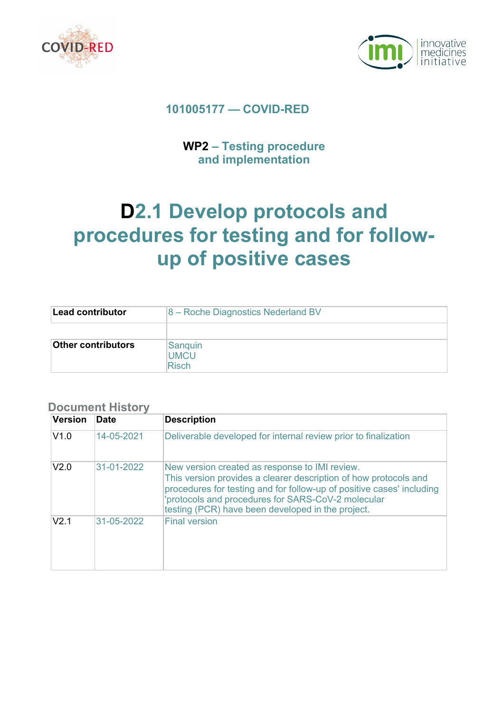



## **101005177 — COVID-RED**

# **WP2 – Testing procedure and implementation**

# **D2.1 Develop protocols and procedures for testing and for followup of positive cases**

| Lead contributor          | 8 – Roche Diagnostics Nederland BV     |
|---------------------------|----------------------------------------|
|                           |                                        |
| <b>Other contributors</b> | Sanguin<br><b>UMCU</b><br><b>Risch</b> |

### **Document History**

| <b>Version</b> | <b>Date</b> | <b>Description</b>                                                                                                                                                                                                                                                                                     |
|----------------|-------------|--------------------------------------------------------------------------------------------------------------------------------------------------------------------------------------------------------------------------------------------------------------------------------------------------------|
| V1.0           | 14-05-2021  | Deliverable developed for internal review prior to finalization                                                                                                                                                                                                                                        |
| V2.0           | 31-01-2022  | New version created as response to IMI review.<br>This version provides a clearer description of how protocols and<br>procedures for testing and for follow-up of positive cases' including<br>'protocols and procedures for SARS-CoV-2 molecular<br>testing (PCR) have been developed in the project. |
| $V2$ 1         | 31-05-2022  | <b>Final version</b>                                                                                                                                                                                                                                                                                   |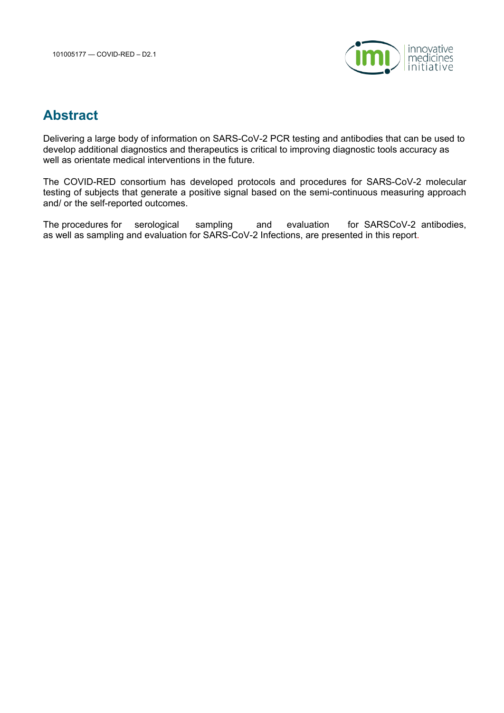

# **Abstract**

Delivering a large body of information on SARS-CoV-2 PCR testing and antibodies that can be used to develop additional diagnostics and therapeutics is critical to improving diagnostic tools accuracy as well as orientate medical interventions in the future.

The COVID-RED consortium has developed protocols and procedures for SARS-CoV-2 molecular testing of subjects that generate a positive signal based on the semi-continuous measuring approach and/ or the self-reported outcomes.

The procedures for serological sampling and evaluation for SARSCoV-2 antibodies, as well as sampling and evaluation for SARS-CoV-2 Infections, are presented in this report.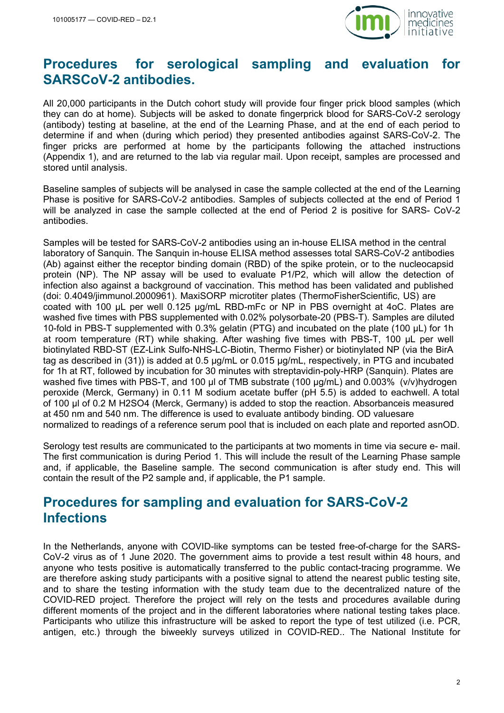

# **Procedures for serological sampling and evaluation for SARSCoV-2 antibodies.**

All 20,000 participants in the Dutch cohort study will provide four finger prick blood samples (which they can do at home). Subjects will be asked to donate fingerprick blood for SARS-CoV-2 serology (antibody) testing at baseline, at the end of the Learning Phase, and at the end of each period to determine if and when (during which period) they presented antibodies against SARS-CoV-2. The finger pricks are performed at home by the participants following the attached instructions (Appendix 1), and are returned to the lab via regular mail. Upon receipt, samples are processed and stored until analysis.

Baseline samples of subjects will be analysed in case the sample collected at the end of the Learning Phase is positive for SARS-CoV-2 antibodies. Samples of subjects collected at the end of Period 1 will be analyzed in case the sample collected at the end of Period 2 is positive for SARS- CoV-2 antibodies.

Samples will be tested for SARS-CoV-2 antibodies using an in-house ELISA method in the central laboratory of Sanquin. The Sanquin in-house ELISA method assesses total SARS-CoV-2 antibodies (Ab) against either the receptor binding domain (RBD) of the spike protein, or to the nucleocapsid protein (NP). The NP assay will be used to evaluate P1/P2, which will allow the detection of infection also against a background of vaccination. This method has been validated and published (doi: 0.4049/jimmunol.2000961). MaxiSORP microtiter plates (ThermoFisherScientific, US) are coated with 100 µL per well 0.125 µg/mL RBD-mFc or NP in PBS overnight at 4oC. Plates are washed five times with PBS supplemented with 0.02% polysorbate-20 (PBS-T). Samples are diluted 10-fold in PBS-T supplemented with 0.3% gelatin (PTG) and incubated on the plate (100 µL) for 1h at room temperature (RT) while shaking. After washing five times with PBS-T, 100 µL per well biotinylated RBD-ST (EZ-Link Sulfo-NHS-LC-Biotin, Thermo Fisher) or biotinylated NP (via the BirA tag as described in (31)) is added at 0.5 µg/mL or 0.015 µg/mL, respectively, in PTG and incubated for 1h at RT, followed by incubation for 30 minutes with streptavidin-poly-HRP (Sanquin). Plates are washed five times with PBS-T, and 100 µl of TMB substrate (100 µg/mL) and 0.003% (v/v)hydrogen peroxide (Merck, Germany) in 0.11 M sodium acetate buffer (pH 5.5) is added to eachwell. A total of 100 µl of 0.2 M H2SO4 (Merck, Germany) is added to stop the reaction. Absorbanceis measured at 450 nm and 540 nm. The difference is used to evaluate antibody binding. OD valuesare normalized to readings of a reference serum pool that is included on each plate and reported asnOD.

Serology test results are communicated to the participants at two moments in time via secure e- mail. The first communication is during Period 1. This will include the result of the Learning Phase sample and, if applicable, the Baseline sample. The second communication is after study end. This will contain the result of the P2 sample and, if applicable, the P1 sample.

# **Procedures for sampling and evaluation for SARS-CoV-2 Infections**

In the Netherlands, anyone with COVID-like symptoms can be tested free-of-charge for the SARS-CoV-2 virus as of 1 June 2020. The government aims to provide a test result within 48 hours, and anyone who tests positive is automatically transferred to the public contact-tracing programme. We are therefore asking study participants with a positive signal to attend the nearest public testing site, and to share the testing information with the study team due to the decentralized nature of the COVID-RED project. Therefore the project will rely on the tests and procedures available during different moments of the project and in the different laboratories where national testing takes place. Participants who utilize this infrastructure will be asked to report the type of test utilized (i.e. PCR, antigen, etc.) through the biweekly surveys utilized in COVID-RED.. The National Institute for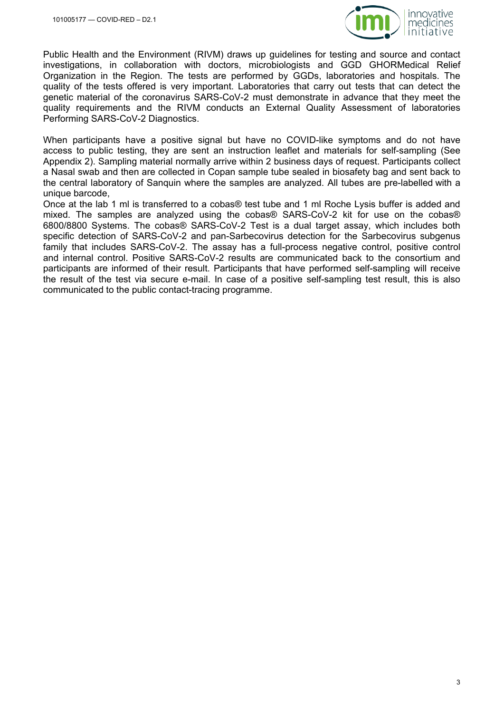

Public Health and the Environment (RIVM) draws up guidelines for testing and source and contact investigations, in collaboration with doctors, microbiologists and GGD GHORMedical Relief Organization in the Region. The tests are performed by GGDs, laboratories and hospitals. The quality of the tests offered is very important. Laboratories that carry out tests that can detect the genetic material of the coronavirus SARS-CoV-2 must demonstrate in advance that they meet the quality requirements and the RIVM conducts an External Quality Assessment of laboratories Performing SARS-CoV-2 Diagnostics.

When participants have a positive signal but have no COVID-like symptoms and do not have access to public testing, they are sent an instruction leaflet and materials for self-sampling (See Appendix 2). Sampling material normally arrive within 2 business days of request. Participants collect a Nasal swab and then are collected in Copan sample tube sealed in biosafety bag and sent back to the central laboratory of Sanquin where the samples are analyzed. All tubes are pre-labelled with a unique barcode,

Once at the lab 1 ml is transferred to a cobas® test tube and 1 ml Roche Lysis buffer is added and mixed. The samples are analyzed using the cobas® SARS-CoV-2 kit for use on the cobas® 6800/8800 Systems. The cobas® SARS-CoV-2 Test is a dual target assay, which includes both specific detection of SARS-CoV-2 and pan-Sarbecovirus detection for the Sarbecovirus subgenus family that includes SARS-CoV-2. The assay has a full-process negative control, positive control and internal control. Positive SARS-CoV-2 results are communicated back to the consortium and participants are informed of their result. Participants that have performed self-sampling will receive the result of the test via secure e-mail. In case of a positive self-sampling test result, this is also communicated to the public contact-tracing programme.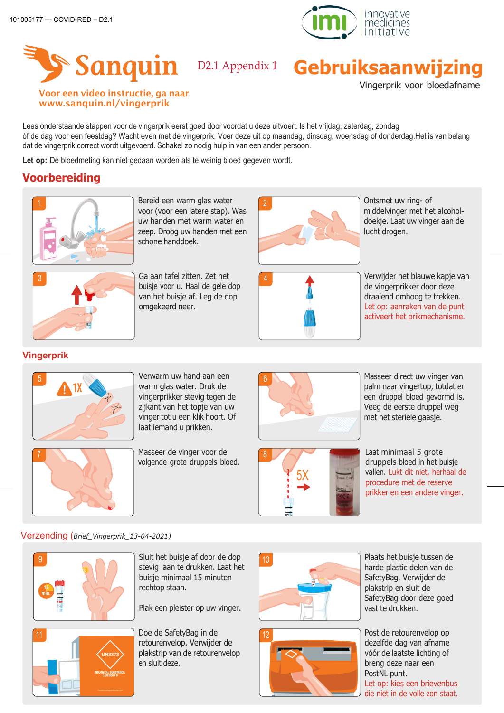



# **Sanquin D2.1 Appendix 1 Gebruiksaanwijzing**

Vingerprik voor bloedafname

#### Voor een video instructie, ga naar [www.sanquin.nl/vingerprik](http://www.sanquin.nl/vingerprik)

Lees onderstaande stappen voor de vingerprik eerst goed door voordat u deze uitvoert. Is het vrijdag, zaterdag, zondag óf de dag voor een feestdag? Wacht even met de vingerprik. Voer deze uit op maandag, dinsdag, woensdag of donderdag.Het is van belang dat de vingerprik correct wordt uitgevoerd. Schakel zo nodig hulp in van een ander persoon.

Let op: De bloedmeting kan niet gedaan worden als te weinig bloed gegeven wordt.

# **Voorbereiding**



Bereid een warm glas water voor (voor een latere stap). Was uw handen met warm water en zeep. Droog uw handen met een schone handdoek.



3 Ga aan tafel zitten. Zet het buisje voor u. Haal de gele dop van het buisje af. Leg de dop omgekeerd neer.



Ontsmet uw ring- of middelvinger met het alcoholdoekje. Laat uw vinger aan de lucht drogen.



Verwijder het blauwe kapje van de vingerprikker door deze draaiend omhoog te trekken. Let op: aanraken van de punt activeert het prikmechanisme.

#### **Vingerprik**



5 Verwarm uw hand aan een warm glas water. Druk de vingerprikker stevig tegen de zijkant van het topje van uw vinger tot u een klik hoort. Of laat iemand u prikken.

Masseer de vinger voor de volgende grote druppels bloed.



Masseer direct uw vinger van palm naar vingertop, totdat er een druppel bloed gevormd is. Veeg de eerste druppel weg met het steriele gaasje.

8 5X

Laat minimaal 5 grote druppels bloed in het buisje vallen. Lukt dit niet, herhaal de procedure met de reserve prikker en een andere vinger.

#### Verzending (*Brief\_Vingerprik\_13-04-2021)*



Sluit het buisje af door de dop stevig aan te drukken. Laat het buisje minimaal 15 minuten rechtop staan.

Plak een pleister op uw vinger.

Doe de SafetyBag in de retourenvelop. Verwijder de plakstrip van de retourenvelop en sluit deze.





harde plastic delen van de SafetyBag. Verwijder de plakstrip en sluit de SafetyBag door deze goed vast te drukken.

Post de retourenvelop op dezelfde dag van afname vóór de laatste lichting of breng deze naar een PostNL punt. Let op: kies een brievenbus die niet in de volle zon staat.

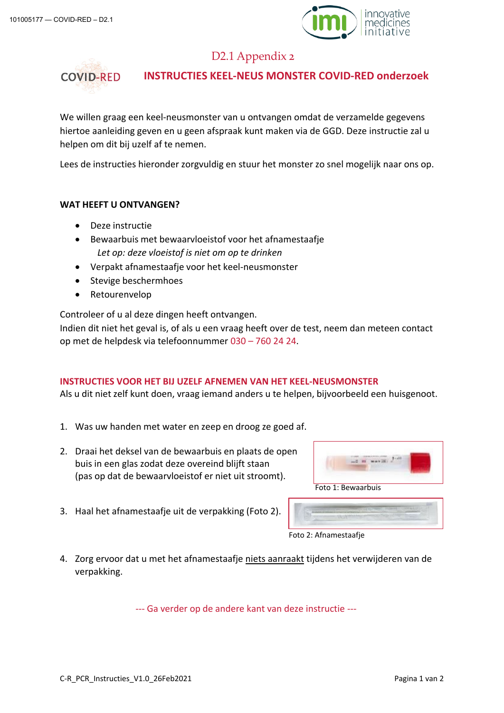

## D2.1 Appendix 2



#### **INSTRUCTIES KEEL-NEUS MONSTER COVID-RED onderzoek**

We willen graag een keel-neusmonster van u ontvangen omdat de verzamelde gegevens hiertoe aanleiding geven en u geen afspraak kunt maken via de GGD. Deze instructie zal u helpen om dit bij uzelf af te nemen.

Lees de instructies hieronder zorgvuldig en stuur het monster zo snel mogelijk naar ons op.

#### **WAT HEEFT U ONTVANGEN?**

- Deze instructie
- Bewaarbuis met bewaarvloeistof voor het afnamestaafje *Let op: deze vloeistof is niet om op te drinken*
- Verpakt afnamestaafje voor het keel-neusmonster
- Stevige beschermhoes
- Retourenvelop

Controleer of u al deze dingen heeft ontvangen.

Indien dit niet het geval is, of als u een vraag heeft over de test, neem dan meteen contact op met de helpdesk via telefoonnummer 030 – 760 24 24.

#### **INSTRUCTIES VOOR HET BIJ UZELF AFNEMEN VAN HET KEEL-NEUSMONSTER**

Als u dit niet zelf kunt doen, vraag iemand anders u te helpen, bijvoorbeeld een huisgenoot.

- 1. Was uw handen met water en zeep en droog ze goed af.
- 2. Draai het deksel van de bewaarbuis en plaats de open buis in een glas zodat deze overeind blijft staan (pas op dat de bewaarvloeistof er niet uit stroomt).



3. Haal het afnamestaafje uit de verpakking (Foto 2).

| Foto 2: Afnamestaafje |  |
|-----------------------|--|

4. Zorg ervoor dat u met het afnamestaafje niets aanraakt tijdens het verwijderen van de verpakking.

--- Ga verder op de andere kant van deze instructie ---